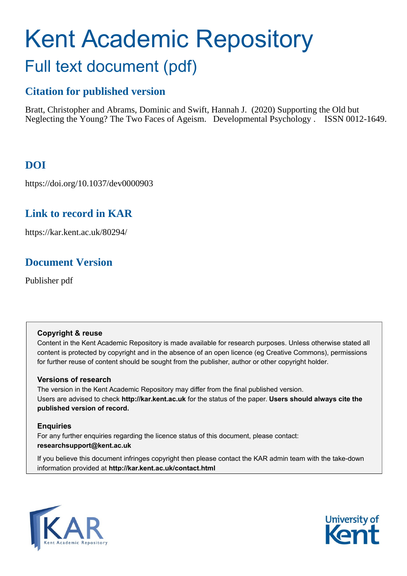# Kent Academic Repository Full text document (pdf)

### **Citation for published version**

Bratt, Christopher and Abrams, Dominic and Swift, Hannah J. (2020) Supporting the Old but Neglecting the Young? The Two Faces of Ageism. Developmental Psychology . ISSN 0012-1649.

### **DOI**

https://doi.org/10.1037/dev0000903

### **Link to record in KAR**

https://kar.kent.ac.uk/80294/

### **Document Version**

Publisher pdf

### **Copyright & reuse**

Content in the Kent Academic Repository is made available for research purposes. Unless otherwise stated all content is protected by copyright and in the absence of an open licence (eg Creative Commons), permissions for further reuse of content should be sought from the publisher, author or other copyright holder.

### **Versions of research**

The version in the Kent Academic Repository may differ from the final published version. Users are advised to check **http://kar.kent.ac.uk** for the status of the paper. **Users should always cite the published version of record.**

### **Enquiries**

For any further enquiries regarding the licence status of this document, please contact: **researchsupport@kent.ac.uk**

If you believe this document infringes copyright then please contact the KAR admin team with the take-down information provided at **http://kar.kent.ac.uk/contact.html**



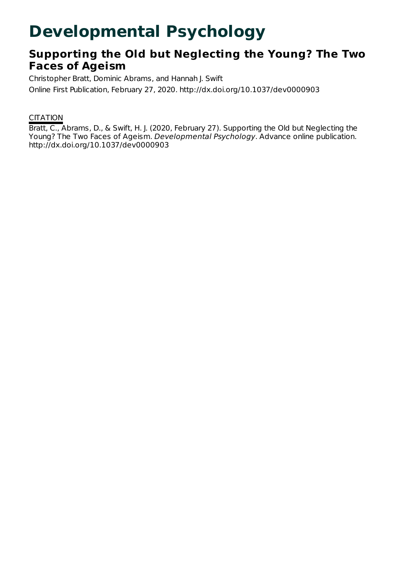## **Developmental Psychology**

### **Supporting the Old but Neglecting the Young? The Two Faces of Ageism**

Christopher Bratt, Dominic Abrams, and Hannah J. Swift Online First Publication, February 27, 2020. http://dx.doi.org/10.1037/dev0000903

### **CITATION**

Bratt, C., Abrams, D., & Swift, H. J. (2020, February 27). Supporting the Old but Neglecting the Young? The Two Faces of Ageism. Developmental Psychology. Advance online publication. http://dx.doi.org/10.1037/dev0000903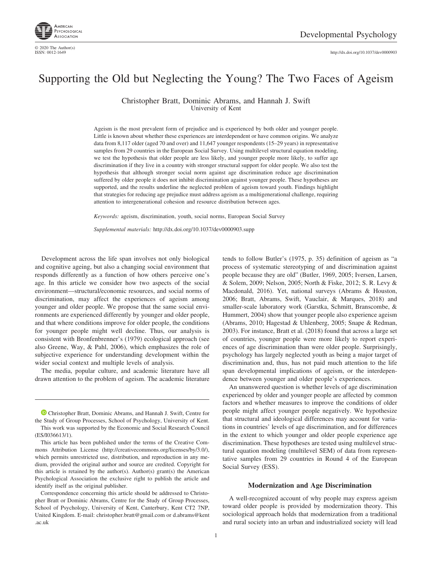

© 2020 The Author(s)<br>ISSN: 0012-1649

http://dx.doi.org[/10.1037/dev0000903](http://dx.doi.org/10.1037/dev0000903)

### Supporting the Old but Neglecting the Young? The Two Faces of Ageism

Christopher Bratt, Dominic Abrams, and Hannah J. Swift University of Kent

Ageism is the most prevalent form of prejudice and is experienced by both older and younger people. Little is known about whether these experiences are interdependent or have common origins. We analyze data from 8,117 older (aged 70 and over) and 11,647 younger respondents (15–29 years) in representative samples from 29 countries in the European Social Survey. Using multilevel structural equation modeling, we test the hypothesis that older people are less likely, and younger people more likely, to suffer age discrimination if they live in a country with stronger structural support for older people. We also test the hypothesis that although stronger social norm against age discrimination reduce age discrimination suffered by older people it does not inhibit discrimination against younger people. These hypotheses are supported, and the results underline the neglected problem of ageism toward youth. Findings highlight that strategies for reducing age prejudice must address ageism as a multigenerational challenge, requiring attention to intergenerational cohesion and resource distribution between ages.

*Keywords:* ageism, discrimination, youth, social norms, European Social Survey

*Supplemental materials:* http://dx.doi.org/10.1037/dev0000903.supp

Development across the life span involves not only biological and cognitive ageing, but also a changing social environment that responds differently as a function of how others perceive one's age. In this article we consider how two aspects of the social environment—structural/economic resources, and social norms of discrimination, may affect the experiences of ageism among younger and older people. We propose that the same social environments are experienced differently by younger and older people, and that where conditions improve for older people, the conditions for younger people might well decline. Thus, our analysis is consistent with Bronfenbrenner's (1979) ecological approach (see also Greene, Way, & Pahl, 2006), which emphasizes the role of subjective experience for understanding development within the wider social context and multiple levels of analysis.

The media, popular culture, and academic literature have all drawn attention to the problem of ageism. The academic literature

**[Christopher Bratt,](https://orcid.org/0000-0001-5838-8739) Dominic Abrams, and Hannah J. Swift, Centre for** the Study of Group Processes, School of Psychology, University of Kent. This work was supported by the Economic and Social Research Council (ES/I036613/1).

tends to follow Butler's (1975, p. 35) definition of ageism as "a process of systematic stereotyping of and discrimination against people because they are old" (Butler, 1969, 2005; Iversen, Larsen, & Solem, 2009; Nelson, 2005; North & Fiske, 2012; S. R. Levy & Macdonald, 2016). Yet, national surveys (Abrams & Houston, 2006; Bratt, Abrams, Swift, Vauclair, & Marques, 2018) and smaller-scale laboratory work (Garstka, Schmitt, Branscombe, & Hummert, 2004) show that younger people also experience ageism (Abrams, 2010; Hagestad & Uhlenberg, 2005; Snape & Redman, 2003). For instance, Bratt et al. (2018) found that across a large set of countries, younger people were more likely to report experiences of age discrimination than were older people. Surprisingly, psychology has largely neglected youth as being a major target of discrimination and, thus, has not paid much attention to the life span developmental implications of ageism, or the interdependence between younger and older people's experiences.

An unanswered question is whether levels of age discrimination experienced by older and younger people are affected by common factors and whether measures to improve the conditions of older people might affect younger people negatively. We hypothesize that structural and ideological differences may account for variations in countries' levels of age discrimination, and for differences in the extent to which younger and older people experience age discrimination. These hypotheses are tested using multilevel structural equation modeling (multilevel SEM) of data from representative samples from 29 countries in Round 4 of the European Social Survey (ESS).

#### **Modernization and Age Discrimination**

A well-recognized account of why people may express ageism toward older people is provided by modernization theory. This sociological approach holds that modernization from a traditional and rural society into an urban and industrialized society will lead

This article has been published under the terms of the Creative Commons Attribution License [\(http://creativecommons.org/licenses/by/3.0/\)](http://creativecommons.org/licenses/by/3.0/), which permits unrestricted use, distribution, and reproduction in any medium, provided the original author and source are credited. Copyright for this article is retained by the author(s). Author(s) grant(s) the American Psychological Association the exclusive right to publish the article and identify itself as the original publisher.

Correspondence concerning this article should be addressed to Christopher Bratt or Dominic Abrams, Centre for the Study of Group Processes, School of Psychology, University of Kent, Canterbury, Kent CT2 7NP, United Kingdom. E-mail: [christopher.bratt@gmail.com](mailto:christopher.bratt@gmail.com) or [d.abrams@kent](mailto:d.abrams@kent.ac.uk) [.ac.uk](mailto:d.abrams@kent.ac.uk)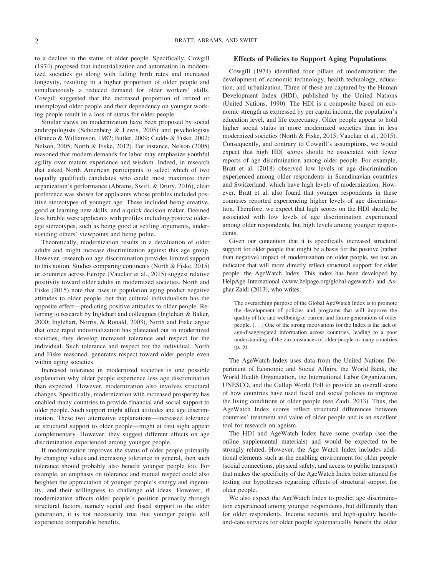to a decline in the status of older people. Specifically, Cowgill (1974) proposed that industrialization and automation in modernized societies go along with falling birth rates and increased longevity, resulting in a higher proportion of older people and simultaneously a reduced demand for older workers' skills. Cowgill suggested that the increased proportion of retired or unemployed older people and their dependency on younger working people result in a loss of status for older people.

Similar views on modernization have been proposed by social anthropologists (Schoenberg & Lewis, 2005) and psychologists (Branco & Williamson, 1982; Butler, 2009; Cuddy & Fiske, 2002; Nelson, 2005; North & Fiske, 2012). For instance, Nelson (2005) reasoned that modern demands for labor may emphasize youthful agility over mature experience and wisdom. Indeed, in research that asked North American participants to select which of two (equally qualified) candidates who could most maximize their organization's performance (Abrams, Swift, & Drury, 2016), clear preference was shown for applicants whose profiles included positive stereotypes of younger age. These included being creative, good at learning new skills, and a quick decision maker. Deemed less hirable were applicants with profiles including positive olderage stereotypes, such as being good at settling arguments, understanding others' viewpoints and being polite.

Theoretically, modernization results in a devaluation of older adults and might increase discrimination against this age group. However, research on age discrimination provides limited support to this notion. Studies comparing continents (North & Fiske, 2015) or countries across Europe (Vauclair et al., 2015) suggest relative positivity toward older adults in modernized societies. North and Fiske (2015) note that rises in population aging predict negative attitudes to older people, but that cultural individualism has the opposite effect—predicting positive attitudes to older people. Referring to research by Inglehart and colleagues (Inglehart & Baker, 2000; Inglehart, Norris, & Ronald, 2003), North and Fiske argue that once rapid industrialization has plateaued out in modernized societies, they develop increased tolerance and respect for the individual. Such tolerance and respect for the individual, North and Fiske reasoned, generates respect toward older people even within aging societies.

Increased tolerance in modernized societies is one possible explanation why older people experience less age discrimination than expected. However, modernization also involves structural changes. Specifically, modernization with increased prosperity has enabled many countries to provide financial and social support to older people. Such support might affect attitudes and age discrimination. These two alternative explanations—increased tolerance or structural support to older people—might at first sight appear complementary. However, they suggest different effects on age discrimination experienced among younger people.

If modernization improves the status of older people primarily by changing values and increasing tolerance in general, then such tolerance should probably also benefit younger people too. For example, an emphasis on tolerance and mutual respect could also heighten the appreciation of younger people's energy and ingenuity, and their willingness to challenge old ideas. However, if modernization affects older people's position primarily through structural factors, namely social and fiscal support to the older generation, it is not necessarily true that younger people will experience comparable benefits.

#### **Effects of Policies to Support Aging Populations**

Cowgill (1974) identified four pillars of modernization: the development of economic technology, health technology, education, and urbanization. Three of these are captured by the Human Development Index (HDI), published by the United Nations (United Nations, 1990). The HDI is a composite based on economic strength as expressed by per capita income, the population's education level, and life expectancy. Older people appear to hold higher social status in more modernized societies than in less modernized societies (North & Fiske, 2015; Vauclair et al., 2015). Consequently, and contrary to Cowgill's assumptions, we would expect that high HDI scores should be associated with fewer reports of age discrimination among older people. For example, Bratt et al. (2018) observed low levels of age discrimination experienced among older respondents in Scandinavian countries and Switzerland, which have high levels of modernization. However, Bratt et al. also found that younger respondents in these countries reported experiencing higher levels of age discrimination. Therefore, we expect that high scores on the HDI should be associated with low levels of age discrimination experienced among older respondents, but high levels among younger respondents.

Given our contention that it is specifically increased structural support for older people that might be a basis for the positive (rather than negative) impact of modernization on older people, we use an indicator that will more directly reflect structural support for older people: the AgeWatch Index. This index has been developed by HelpAge International [\(www.helpage.org/global-agewatch\)](http://www.helpage.org/global-agewatch) and Asghar Zaidi (2013), who writes:

The overarching purpose of the Global AgeWatch Index is to promote the development of policies and programs that will improve the quality of life and wellbeing of current and future generations of older people. [. . .] One of the strong motivations for the Index is the lack of age-disaggregated information across countries, leading to a poor understanding of the circumstances of older people in many countries (p. 5).

The AgeWatch Index uses data from the United Nations Department of Economic and Social Affairs, the World Bank, the World Health Organization, the International Labor Organization, UNESCO, and the Gallup World Poll to provide an overall score of how countries have used fiscal and social policies to improve the living conditions of older people (see Zaidi, 2013). Thus, the AgeWatch Index scores reflect structural differences between countries' treatment and value of older people and is an excellent tool for research on ageism.

The HDI and AgeWatch Index have some overlap (see the [online supplemental materials\)](http://dx.doi.org/10.1037/dev0000903.supp) and would be expected to be strongly related. However, the Age Watch Index includes additional elements such as the enabling environment for older people (social connections, physical safety, and access to public transport) that makes the specificity of the AgeWatch Index better attuned for testing our hypotheses regarding effects of structural support for older people.

We also expect the AgeWatch Index to predict age discrimination experienced among younger respondents, but differently than for older respondents. Income security and high-quality healthand-care services for older people systematically benefit the older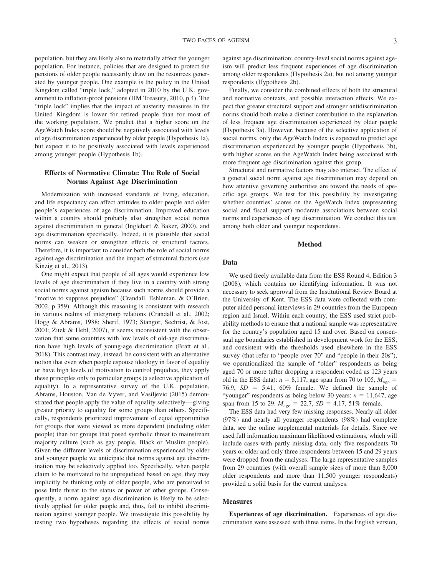population, but they are likely also to materially affect the younger population. For instance, policies that are designed to protect the pensions of older people necessarily draw on the resources generated by younger people. One example is the policy in the United Kingdom called "triple lock," adopted in 2010 by the U.K. government to inflation-proof pensions (HM Treasury, 2010, p 4). The "triple lock" implies that the impact of austerity measures in the United Kingdom is lower for retired people than for most of the working population. We predict that a higher score on the AgeWatch Index score should be negatively associated with levels of age discrimination experienced by older people (Hypothesis 1a), but expect it to be positively associated with levels experienced among younger people (Hypothesis 1b).

#### **Effects of Normative Climate: The Role of Social Norms Against Age Discrimination**

Modernization with increased standards of living, education, and life expectancy can affect attitudes to older people and older people's experiences of age discrimination. Improved education within a country should probably also strengthen social norms against discrimination in general (Inglehart & Baker, 2000), and age discrimination specifically. Indeed, it is plausible that social norms can weaken or strengthen effects of structural factors. Therefore, it is important to consider both the role of social norms against age discrimination and the impact of structural factors (see Kinzig et al., 2013).

One might expect that people of all ages would experience low levels of age discrimination if they live in a country with strong social norms against ageism because such norms should provide a "motive to suppress prejudice" (Crandall, Eshleman, & O'Brien, 2002, p 359). Although this reasoning is consistent with research in various realms of intergroup relations (Crandall et al., 2002; Hogg & Abrams, 1988; Sherif, 1973; Stangor, Sechrist, & Jost, 2001; Zitek & Hebl, 2007), it seems inconsistent with the observation that some countries with low levels of old-age discrimination have high levels of young-age discrimination (Bratt et al., 2018). This contrast may, instead, be consistent with an alternative notion that even when people espouse ideology in favor of equality or have high levels of motivation to control prejudice, they apply these principles only to particular groups (a selective application of equality). In a representative survey of the U.K. population, Abrams, Houston, Van de Vyver, and Vasiljevic (2015) demonstrated that people apply the value of equality selectively— giving greater priority to equality for some groups than others. Specifically, respondents prioritized improvement of equal opportunities for groups that were viewed as more dependent (including older people) than for groups that posed symbolic threat to mainstream majority culture (such as gay people, Black or Muslim people). Given the different levels of discrimination experienced by older and younger people we anticipate that norms against age discrimination may be selectively applied too. Specifically, when people claim to be motivated to be unprejudiced based on age, they may implicitly be thinking only of older people, who are perceived to pose little threat to the status or power of other groups. Consequently, a norm against age discrimination is likely to be selectively applied for older people and, thus, fail to inhibit discrimination against younger people. We investigate this possibility by testing two hypotheses regarding the effects of social norms

against age discrimination: country-level social norms against ageism will predict less frequent experiences of age discrimination among older respondents (Hypothesis 2a), but not among younger respondents (Hypothesis 2b).

Finally, we consider the combined effects of both the structural and normative contexts, and possible interaction effects. We expect that greater structural support and stronger antidiscrimination norms should both make a distinct contribution to the explanation of less frequent age discrimination experienced by older people (Hypothesis 3a). However, because of the selective application of social norms, only the AgeWatch Index is expected to predict age discrimination experienced by younger people (Hypothesis 3b), with higher scores on the AgeWatch Index being associated with more frequent age discrimination against this group.

Structural and normative factors may also interact. The effect of a general social norm against age discrimination may depend on how attentive governing authorities are toward the needs of specific age groups. We test for this possibility by investigating whether countries' scores on the AgeWatch Index (representing social and fiscal support) moderate associations between social norms and experiences of age discrimination. We conduct this test among both older and younger respondents.

#### **Method**

#### **Data**

We used freely available data from the ESS Round 4, Edition 3 (2008), which contains no identifying information. It was not necessary to seek approval from the Institutional Review Board at the University of Kent. The ESS data were collected with computer aided personal interviews in 29 countries from the European region and Israel. Within each country, the ESS used strict probability methods to ensure that a national sample was representative for the country's population aged 15 and over. Based on consensual age boundaries established in development work for the ESS, and consistent with the thresholds used elsewhere in the ESS survey (that refer to "people over 70" and "people in their 20s"), we operationalized the sample of "older" respondents as being aged 70 or more (after dropping a respondent coded as 123 years old in the ESS data):  $n = 8,117$ , age span from 70 to 105,  $M_{\text{age}} =$ 76.9,  $SD = 5.41$ ,  $60\%$  female. We defined the sample of "younger" respondents as being below 30 years:  $n = 11,647$ , age span from 15 to 29,  $M_{\text{age}} = 22.7$ ,  $SD = 4.17$ , 51% female.

The ESS data had very few missing responses. Nearly all older (97%) and nearly all younger respondents (98%) had complete data, see the [online supplemental materials](http://dx.doi.org/10.1037/dev0000903.supp) for details. Since we used full information maximum likelihood estimations, which will include cases with partly missing data, only five respondents 70 years or older and only three respondents between 15 and 29 years were dropped from the analyses. The large representative samples from 29 countries (with overall sample sizes of more than 8,000 older respondents and more than 11,500 younger respondents) provided a solid basis for the current analyses.

#### **Measures**

**Experiences of age discrimination.** Experiences of age discrimination were assessed with three items. In the English version,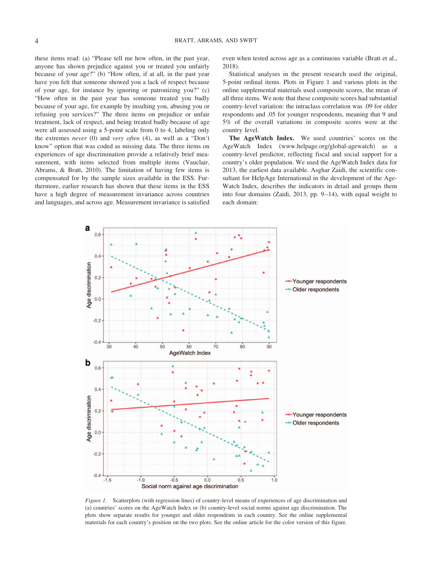these items read: (a) "Please tell me how often, in the past year, anyone has shown prejudice against you or treated you unfairly because of your age?" (b) "How often, if at all, in the past year have you felt that someone showed you a lack of respect because of your age, for instance by ignoring or patronizing you?" (c) "How often in the past year has someone treated you badly because of your age, for example by insulting you, abusing you or refusing you services?" The three items on prejudice or unfair treatment, lack of respect, and being treated badly because of age were all assessed using a 5-point scale from 0 to 4, labeling only the extremes *never* (0) and *very often* (4), as well as a "Don't know" option that was coded as missing data. The three items on experiences of age discrimination provide a relatively brief measurement, with items selected from multiple items (Vauclair, Abrams, & Bratt, 2010). The limitation of having few items is compensated for by the sample sizes available in the ESS. Furthermore, earlier research has shown that these items in the ESS have a high degree of measurement invariance across countries and languages, and across age. Measurement invariance is satisfied even when tested across age as a continuous variable (Bratt et al., 2018).

Statistical analyses in the present research used the original, 5-point ordinal items. Plots in Figure 1 and various plots in the [online supplemental materials](http://dx.doi.org/10.1037/dev0000903.supp) used composite scores, the mean of all three items. We note that these composite scores had substantial country-level variation: the intraclass correlation was .09 for older respondents and .05 for younger respondents, meaning that 9 and 5% of the overall variations in composite scores were at the country level.

**The AgeWatch Index.** We used countries' scores on the AgeWatch Index [\(www.helpage.org/global-agewatch\)](http://www.helpage.org/global-agewatch) as a country-level predictor, reflecting fiscal and social support for a country's older population. We used the AgeWatch Index data for 2013, the earliest data available. Asghar Zaidi, the scientific consultant for HelpAge International in the development of the Age-Watch Index, describes the indicators in detail and groups them into four domains (Zaidi, 2013, pp. 9 –14), with equal weight to each domain:



*Figure 1.* Scatterplots (with regression lines) of country-level means of experiences of age discrimination and (a) countries' scores on the AgeWatch Index or (b) country-level social norms against age discrimination. The plots show separate results for younger and older respondents in each country. See the [online supplemental](http://dx.doi.org/10.1037/dev0000903.supp) [materials](http://dx.doi.org/10.1037/dev0000903.supp) for each country's position on the two plots. See the online article for the color version of this figure.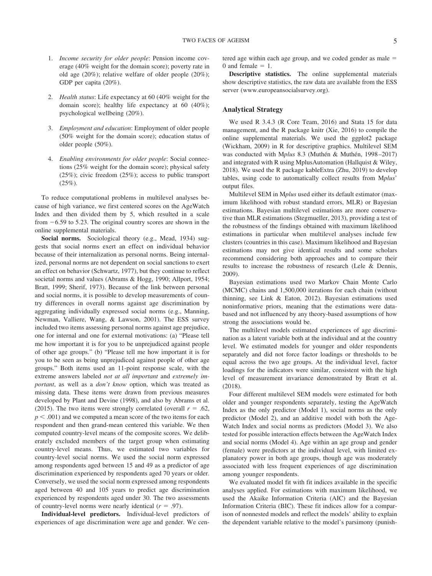- 1. *Income security for older people*: Pension income coverage (40% weight for the domain score); poverty rate in old age (20%); relative welfare of older people (20%); GDP per capita (20%).
- 2. *Health status*: Life expectancy at 60 (40% weight for the domain score); healthy life expectancy at 60 (40%); psychological wellbeing (20%).
- 3. *Employment and education*: Employment of older people (50% weight for the domain score); education status of older people (50%).
- 4. *Enabling environments for older people*: Social connections (25% weight for the domain score); physical safety (25%); civic freedom (25%); access to public transport (25%).

To reduce computational problems in multilevel analyses because of high variance, we first centered scores on the AgeWatch Index and then divided them by 5, which resulted in a scale from  $-6.59$  to 5.23. The original country scores are shown in the [online supplemental materials.](http://dx.doi.org/10.1037/dev0000903.supp)

Social norms. Sociological theory (e.g., Mead, 1934) suggests that social norms exert an effect on individual behavior because of their internalization as personal norms. Being internalized, personal norms are not dependent on social sanctions to exert an effect on behavior (Schwartz, 1977), but they continue to reflect societal norms and values (Abrams & Hogg, 1990; Allport, 1954; Bratt, 1999; Sherif, 1973). Because of the link between personal and social norms, it is possible to develop measurements of country differences in overall norms against age discrimination by aggregating individually expressed social norms (e.g., Manning, Newman, Valliere, Wang, & Lawson, 2001). The ESS survey included two items assessing personal norms against age prejudice, one for internal and one for external motivations: (a) "Please tell me how important it is for you to be unprejudiced against people of other age groups." (b) "Please tell me how important it is for you to be seen as being unprejudiced against people of other age groups." Both items used an 11-point response scale, with the extreme answers labeled *not at all important* and *extremely important*, as well as a *don't know* option, which was treated as missing data. These items were drawn from previous measures developed by Plant and Devine (1998), and also by Abrams et al. (2015). The two items were strongly correlated (overall  $r = .62$ ,  $p < .001$ ) and we computed a mean score of the two items for each respondent and then grand-mean centered this variable. We then computed country-level means of the composite scores. We deliberately excluded members of the target group when estimating country-level means. Thus, we estimated two variables for country-level social norms. We used the social norm expressed among respondents aged between 15 and 49 as a predictor of age discrimination experienced by respondents aged 70 years or older. Conversely, we used the social norm expressed among respondents aged between 40 and 105 years to predict age discrimination experienced by respondents aged under 30. The two assessments of country-level norms were nearly identical  $(r = .97)$ .

**Individual-level predictors.** Individual-level predictors of experiences of age discrimination were age and gender. We centered age within each age group, and we coded gender as male  $=$  $0$  and female  $= 1$ .

**Descriptive statistics.** The [online supplemental materials](http://dx.doi.org/10.1037/dev0000903.supp) show descriptive statistics, the raw data are available from the ESS server [\(www.europeansocialsurvey.org\)](http://www.europeansocialsurvey.org).

#### **Analytical Strategy**

We used R 3.4.3 (R Core Team, 2016) and Stata 15 for data management, and the R package knitr (Xie, 2016) to compile the [online supplemental materials.](http://dx.doi.org/10.1037/dev0000903.supp) We used the ggplot2 package (Wickham, 2009) in R for descriptive graphics. Multilevel SEM was conducted with M*plus* 8.3 (Muthén & Muthén, 1998 –2017) and integrated with R using MplusAutomation (Hallquist & Wiley, 2018). We used the R package kableExtra (Zhu, 2019) to develop tables, using code to automatically collect results from M*plus*' output files.

Multilevel SEM in M*plus* used either its default estimator (maximum likelihood with robust standard errors, MLR) or Bayesian estimations. Bayesian multilevel estimations are more conservative than MLR estimations (Stegmueller, 2013), providing a test of the robustness of the findings obtained with maximum likelihood estimations in particular when multilevel analyses include few clusters (countries in this case). Maximum likelihood and Bayesian estimations may not give identical results and some scholars recommend considering both approaches and to compare their results to increase the robustness of research (Lele & Dennis, 2009).

Bayesian estimations used two Markov Chain Monte Carlo (MCMC) chains and 1,500,000 iterations for each chain (without thinning, see Link & Eaton, 2012). Bayesian estimations used noninformative priors, meaning that the estimations were databased and not influenced by any theory-based assumptions of how strong the associations would be.

The multilevel models estimated experiences of age discrimination as a latent variable both at the individual and at the country level. We estimated models for younger and older respondents separately and did not force factor loadings or thresholds to be equal across the two age groups. At the individual level, factor loadings for the indicators were similar, consistent with the high level of measurement invariance demonstrated by Bratt et al. (2018).

Four different multilevel SEM models were estimated for both older and younger respondents separately, testing the AgeWatch Index as the only predictor (Model 1), social norms as the only predictor (Model 2), and an additive model with both the Age-Watch Index and social norms as predictors (Model 3). We also tested for possible interaction effects between the AgeWatch Index and social norms (Model 4). Age within an age group and gender (female) were predictors at the individual level, with limited explanatory power in both age groups, though age was moderately associated with less frequent experiences of age discrimination among younger respondents.

We evaluated model fit with fit indices available in the specific analyses applied. For estimations with maximum likelihood, we used the Akaike Information Criteria (AIC) and the Bayesian Information Criteria (BIC). These fit indices allow for a comparison of nonnested models and reflect the models' ability to explain the dependent variable relative to the model's parsimony (punish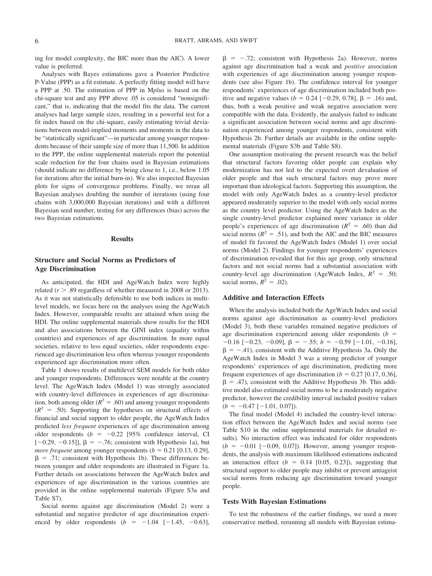ing for model complexity, the BIC more than the AIC). A lower value is preferred.

Analyses with Bayes estimations gave a Posterior Predictive P-Value (PPP) as a fit estimate. A perfectly fitting model will have a PPP at .50. The estimation of PPP in M*plus* is based on the chi-square test and any PPP above .05 is considered "nonsignificant," that is, indicating that the model fits the data. The current analyses had large sample sizes, resulting in a powerful test for a fit index based on the chi-square, easily estimating trivial deviations between model-implied moments and moments in the data to be "statistically significant"—in particular among younger respondents because of their sample size of more than 11,500. In addition to the PPP, the [online supplemental materials](http://dx.doi.org/10.1037/dev0000903.supp) report the potential scale reduction for the four chains used in Bayesian estimations (should indicate no difference by being close to 1, i.e., below 1.05 for iterations after the initial burn-in). We also inspected Bayesian plots for signs of convergence problems. Finally, we reran all Bayesian analyses doubling the number of iterations (using four chains with 3,000,000 Bayesian iterations) and with a different Bayesian seed number, testing for any differences (bias) across the two Bayesian estimations.

#### **Results**

#### **Structure and Social Norms as Predictors of Age Discrimination**

As anticipated, the HDI and AgeWatch Index were highly related  $(r > .89$  regardless of whether measured in 2008 or 2013). As it was not statistically defensible to use both indices in multilevel models, we focus here on the analyses using the AgeWatch Index. However, comparable results are attained when using the HDI. The [online supplemental materials](http://dx.doi.org/10.1037/dev0000903.supp) show results for the HDI and also associations between the GINI index (equality within countries) and experiences of age discrimination. In more equal societies, relative to less equal societies, older respondents experienced age discrimination less often whereas younger respondents experienced age discrimination more often.

Table 1 shows results of multilevel SEM models for both older and younger respondents. Differences were notable at the country level. The AgeWatch Index (Model 1) was strongly associated with country-level differences in experiences of age discrimination, both among older  $(R^2 = .60)$  and among younger respondents  $(R<sup>2</sup> = .50)$ . Supporting the hypotheses on structural effects of financial and social support to older people, the AgeWatch Index predicted *less frequent* experiences of age discrimination among older respondents ( $b = -0.22$  [95% confidence interval, CI  $[-0.29, -0.15]$ ,  $\beta = -.76$ ; consistent with Hypothesis 1a), but *more frequent* among younger respondents  $(b = 0.21 \, [0.13, 0.29]$ ,  $\beta$  = .71; consistent with Hypothesis 1b). These differences between younger and older respondents are illustrated in Figure 1a. Further details on associations between the AgeWatch Index and experiences of age discrimination in the various countries are provided in the online supplemental materials [\(Figure S3a](http://dx.doi.org/10.1037/dev0000903.supp) and [Table S7\)](http://dx.doi.org/10.1037/dev0000903.supp).

Social norms against age discrimination (Model 2) were a substantial and negative predictor of age discrimination experienced by older respondents  $(b = -1.04 [-1.45, -0.63]$ ,

 $\beta$  = -.72; consistent with Hypothesis 2a). However, norms against age discrimination had a weak and *positive* association with experiences of age discrimination among younger respondents (see also Figure 1b). The confidence interval for younger respondents' experiences of age discrimination included both positive and negative values  $(b = 0.24 [-0.29, 0.78], \beta = .16)$  and, thus, both a weak positive and weak negative association were compatible with the data. Evidently, the analysis failed to indicate a significant association between social norms and age discrimination experienced among younger respondents, consistent with Hypothesis 2b. Further details are available in the online supplemental materials [\(Figure S3b](http://dx.doi.org/10.1037/dev0000903.supp) and [Table S8\)](http://dx.doi.org/10.1037/dev0000903.supp).

One assumption motivating the present research was the belief that structural factors favoring older people can explain why modernization has not led to the expected overt devaluation of older people and that such structural factors may prove more important than ideological factors. Supporting this assumption, the model with only AgeWatch Index as a country-level predictor appeared moderately superior to the model with only social norms as the country level predictor. Using the AgeWatch Index as the single country-level predictor explained more variance in older people's experiences of age discrimination ( $R^2 = .60$ ) than did social norms ( $R^2 = .51$ ), and both the AIC and the BIC measures of model fit favored the AgeWatch Index (Model 1) over social norms (Model 2). Findings for younger respondents' experiences of discrimination revealed that for this age group, only structural factors and not social norms had a substantial association with country-level age discrimination (AgeWatch Index,  $R^2 = .50$ ; social norms,  $R^2 = .02$ ).

#### **Additive and Interaction Effects**

When the analysis included both the AgeWatch Index and social norms against age discrimination as country-level predictors (Model 3), both these variables remained negative predictors of age discrimination experienced among older respondents  $(b =$  $-0.16$  [ $-0.23$ ,  $-0.09$ ],  $\beta = -0.55$ ;  $b = -0.59$  [ $-1.01$ ,  $-0.16$ ],  $\beta = -0.41$ , consistent with the Additive Hypothesis 3a. Only the AgeWatch Index in Model 3 was a strong predictor of younger respondents' experiences of age discrimination, predicting more frequent experiences of age discrimination  $(b = 0.27 \, [0.17, 0.36]$ ,  $\beta = .47$ ), consistent with the Additive Hypothesis 3b. This additive model also estimated social norms to be a moderately negative predictor, however the credibility interval included positive values  $(b = -0.47 [-1.01, 0.07]).$ 

The final model (Model 4) included the country-level interaction effect between the AgeWatch Index and social norms (see [Table S10](http://dx.doi.org/10.1037/dev0000903.supp) in the online supplemental materials for detailed results). No interaction effect was indicated for older respondents  $(b = -0.01 [-0.09, 0.07])$ . However, among younger respondents, the analysis with maximum likelihood estimations indicated an interaction effect  $(b = 0.14 [0.05, 0.23])$ , suggesting that structural support to older people may inhibit or prevent antiageist social norms from reducing age discrimination toward younger people.

#### **Tests With Bayesian Estimations**

To test the robustness of the earlier findings, we used a more conservative method, rerunning all models with Bayesian estima-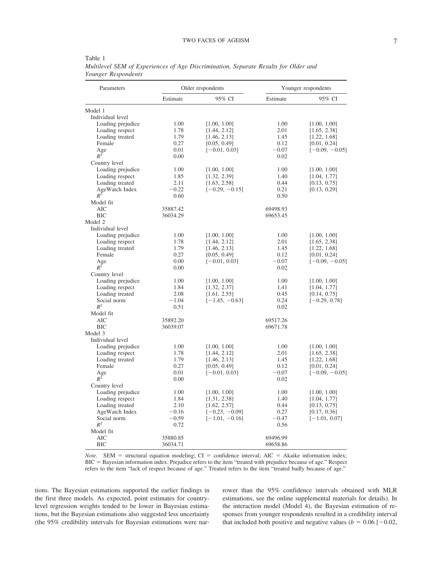| Parameters        | Older respondents |                  | Younger respondents |                  |
|-------------------|-------------------|------------------|---------------------|------------------|
|                   | Estimate          | 95% CI           | Estimate            | 95% CI           |
| Model 1           |                   |                  |                     |                  |
| Individual level  |                   |                  |                     |                  |
| Loading prejudice | 1.00              | [1.00, 1.00]     | 1.00                | [1.00, 1.00]     |
| Loading respect   | 1.78              | [1.44, 2.12]     | 2.01                | [1.65, 2.38]     |
| Loading treated   | 1.79              | [1.46, 2.13]     | 1.45                | [1.22, 1.68]     |
| Female            | 0.27              | [0.05, 0.49]     | 0.12                | [0.01, 0.24]     |
| Age               | 0.01              | $[-0.01, 0.03]$  | $-0.07$             | $[-0.09, -0.05]$ |
| $R^2$             | 0.00              |                  | 0.02                |                  |
| Country level     |                   |                  |                     |                  |
| Loading prejudice | 1.00              | [1.00, 1.00]     | 1.00                | [1.00, 1.00]     |
| Loading respect   | 1.85              | [1.32, 2.39]     | 1.40                | [1.04, 1.77]     |
| Loading treated   | 2.11              | [1.63, 2.58]     | 0.44                | [0.13, 0.75]     |
| AgeWatch Index    | $-0.22$           | $[-0.29, -0.15]$ | 0.21                | [0.13, 0.29]     |
| $R^2$             | 0.60              |                  | 0.50                |                  |
| Model fit         |                   |                  |                     |                  |
| <b>AIC</b>        | 35887.42          |                  | 69498.93            |                  |
| <b>BIC</b>        | 36034.29          |                  | 69653.45            |                  |
| Model 2           |                   |                  |                     |                  |
| Individual level  |                   |                  |                     |                  |
| Loading prejudice | 1.00              | [1.00, 1.00]     | 1.00                | [1.00, 1.00]     |
| Loading respect   | 1.78              | [1.44, 2.12]     | 2.01                | [1.65, 2.38]     |
| Loading treated   | 1.79              | [1.46, 2.13]     | 1.45                | [1.22, 1.68]     |
| Female            | 0.27              | [0.05, 0.49]     | 0.12                | [0.01, 0.24]     |
| Age               | 0.00              | $[-0.01, 0.03]$  | $-0.07$             | $[-0.09, -0.05]$ |
| $R^2$             | 0.00              |                  | 0.02                |                  |
| Country level     |                   |                  |                     |                  |
| Loading prejudice | 1.00              | [1.00, 1.00]     | 1.00                | [1.00, 1.00]     |
| Loading respect   | 1.84              | [1.32, 2.37]     | 1.41                | [1.04, 1.77]     |
| Loading treated   | 2.08              | [1.61, 2.55]     | 0.45                | [0.14, 0.75]     |
| Social norm       | $-1.04$           | $[-1.45, -0.63]$ | 0.24                | $[-0.29, 0.78]$  |
| $R^2$             | 0.51              |                  | 0.02                |                  |
| Model fit         |                   |                  |                     |                  |
| AIC               | 35892.20          |                  | 69517.26            |                  |
| <b>BIC</b>        | 36039.07          |                  | 69671.78            |                  |
| Model 3           |                   |                  |                     |                  |
| Individual level  |                   |                  |                     |                  |
| Loading prejudice | 1.00              | [1.00, 1.00]     | 1.00                | [1.00, 1.00]     |
| Loading respect   | 1.78              | [1.44, 2.12]     | 2.01                | [1.65, 2.38]     |
| Loading treated   | 1.79              | [1.46, 2.13]     | 1.45                | [1.22, 1.68]     |
| Female            | 0.27              | [0.05, 0.49]     | 0.12                | [0.01, 0.24]     |
| Age               | 0.01              | $[-0.01, 0.03]$  | $-0.07$             | $[-0.09, -0.05]$ |
| $R^2$             | 0.00              |                  | 0.02                |                  |
| Country level     |                   |                  |                     |                  |
| Loading prejudice | 1.00              | [1.00, 1.00]     | 1.00                | [1.00, 1.00]     |
| Loading respect   | 1.84              | [1.31, 2.38]     | 1.40                | [1.04, 1.77]     |
| Loading treated   | 2.10              | [1.62, 2.57]     | 0.44                | [0.13, 0.75]     |
| AgeWatch Index    | $-0.16$           | $[-0.23, -0.09]$ | 0.27                | [0.17, 0.36]     |
| Social norm       | $-0.59$           | $[-1.01, -0.16]$ | $-0.47$             | $[-1.01, 0.07]$  |
| $R^2$             | 0.72              |                  | 0.56                |                  |
| Model fit         |                   |                  |                     |                  |
| <b>AIC</b>        | 35880.85          |                  | 69496.99            |                  |
| <b>BIC</b>        | 36034.71          |                  | 69658.86            |                  |

Table 1 *Multilevel SEM of Experiences of Age Discrimination, Separate Results for Older and Younger Respondents*

*Note*. SEM = structural equation modeling; CI = confidence interval; AIC = Akaike information index; BIC - Bayesian information index. Prejudice refers to the item "treated with prejudice because of age." Respect refers to the item "lack of respect because of age." Treated refers to the item "treated badly because of age."

tions. The Bayesian estimations supported the earlier findings in the first three models. As expected, point estimates for countrylevel regression weights tended to be lower in Bayesian estimations, but the Bayesian estimations also suggested less uncertainty (the 95% credibility intervals for Bayesian estimations were narrower than the 95% confidence intervals obtained with MLR estimations, see the [online supplemental materials](http://dx.doi.org/10.1037/dev0000903.supp) for details). In the interaction model (Model 4), the Bayesian estimation of responses from younger respondents resulted in a credibility interval that included both positive and negative values  $(b = 0.06 [-0.02,$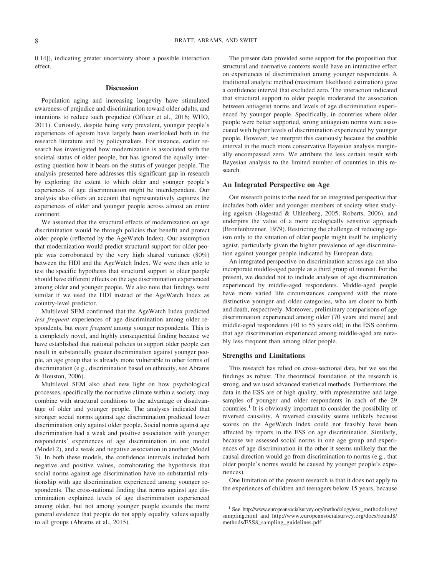0.14]), indicating greater uncertainty about a possible interaction effect.

#### **Discussion**

Population aging and increasing longevity have stimulated awareness of prejudice and discrimination toward older adults, and intentions to reduce such prejudice (Officer et al., 2016; WHO, 2011). Curiously, despite being very prevalent, younger people's experiences of ageism have largely been overlooked both in the research literature and by policymakers. For instance, earlier research has investigated how modernization is associated with the societal status of older people, but has ignored the equally interesting question how it bears on the status of younger people. The analysis presented here addresses this significant gap in research by exploring the extent to which older and younger people's experiences of age discrimination might be interdependent. Our analysis also offers an account that representatively captures the experiences of older and younger people across almost an entire continent.

We assumed that the structural effects of modernization on age discrimination would be through policies that benefit and protect older people (reflected by the AgeWatch Index). Our assumption that modernization would predict structural support for older people was corroborated by the very high shared variance (80%) between the HDI and the AgeWatch Index. We were then able to test the specific hypothesis that structural support to older people should have different effects on the age discrimination experienced among older and younger people. We also note that findings were similar if we used the HDI instead of the AgeWatch Index as country-level predictor.

Multilevel SEM confirmed that the AgeWatch Index predicted *less frequent* experiences of age discrimination among older respondents, but *more frequent* among younger respondents. This is a completely novel, and highly consequential finding because we have established that national policies to support older people can result in substantially greater discrimination against younger people, an age group that is already more vulnerable to other forms of discrimination (e.g., discrimination based on ethnicity, see Abrams & Houston, 2006).

Multilevel SEM also shed new light on how psychological processes, specifically the normative climate within a society, may combine with structural conditions to the advantage or disadvantage of older and younger people. The analyses indicated that stronger social norms against age discrimination predicted lower discrimination only against older people. Social norms against age discrimination had a weak and positive association with younger respondents' experiences of age discrimination in one model (Model 2), and a weak and negative association in another (Model 3). In both these models, the confidence intervals included both negative and positive values, corroborating the hypothesis that social norms against age discrimination have no substantial relationship with age discrimination experienced among younger respondents. The cross-national finding that norms against age discrimination explained levels of age discrimination experienced among older, but not among younger people extends the more general evidence that people do not apply equality values equally to all groups (Abrams et al., 2015).

The present data provided some support for the proposition that structural and normative contexts would have an interactive effect on experiences of discrimination among younger respondents. A traditional analytic method (maximum likelihood estimation) gave a confidence interval that excluded zero. The interaction indicated that structural support to older people moderated the association between antiageist norms and levels of age discrimination experienced by younger people. Specifically, in countries where older people were better supported, strong antiageism norms were associated with higher levels of discrimination experienced by younger people. However, we interpret this cautiously because the credible interval in the much more conservative Bayesian analysis marginally encompassed zero. We attribute the less certain result with Bayesian analysis to the limited number of countries in this research.

#### **An Integrated Perspective on Age**

Our research points to the need for an integrated perspective that includes both older and younger members of society when studying ageism (Hagestad & Uhlenberg, 2005; Roberts, 2006), and underpins the value of a more ecologically sensitive approach (Bronfenbrenner, 1979). Restricting the challenge of reducing ageism only to the situation of older people might itself be implicitly ageist, particularly given the higher prevalence of age discrimination against younger people indicated by European data.

An integrated perspective on discrimination across age can also incorporate middle-aged people as a third group of interest. For the present, we decided not to include analyses of age discrimination experienced by middle-aged respondents. Middle-aged people have more varied life circumstances compared with the more distinctive younger and older categories, who are closer to birth and death, respectively. Moreover, preliminary comparisons of age discrimination experienced among older (70 years and more) and middle-aged respondents (40 to 55 years old) in the ESS confirm that age discrimination experienced among middle-aged are notably less frequent than among older people.

#### **Strengths and Limitations**

This research has relied on cross-sectional data, but we see the findings as robust. The theoretical foundation of the research is strong, and we used advanced statistical methods. Furthermore, the data in the ESS are of high quality, with representative and large samples of younger and older respondents in each of the 29 countries.<sup>1</sup> It is obviously important to consider the possibility of reversed causality. A reversed causality seems unlikely because scores on the AgeWatch Index could not feasibly have been affected by reports in the ESS on age discrimination. Similarly, because we assessed social norms in one age group and experiences of age discrimination in the other it seems unlikely that the causal direction would go from discrimination to norms (e.g., that older people's norms would be caused by younger people's experiences).

One limitation of the present research is that it does not apply to the experiences of children and teenagers below 15 years, because

<sup>&</sup>lt;sup>1</sup> See [http://www.europeansocialsurvey.org/methodology/ess\\_methodology/](http://www.europeansocialsurvey.org/methodology/ess_methodology/sampling.html) [sampling.html](http://www.europeansocialsurvey.org/methodology/ess_methodology/sampling.html) and [http://www.europeansocialsurvey.org/docs/round8/](http://www.europeansocialsurvey.org/docs/round8/methods/ESS8_sampling_guidelines.pdf) [methods/ESS8\\_sampling\\_guidelines.pdf.](http://www.europeansocialsurvey.org/docs/round8/methods/ESS8_sampling_guidelines.pdf)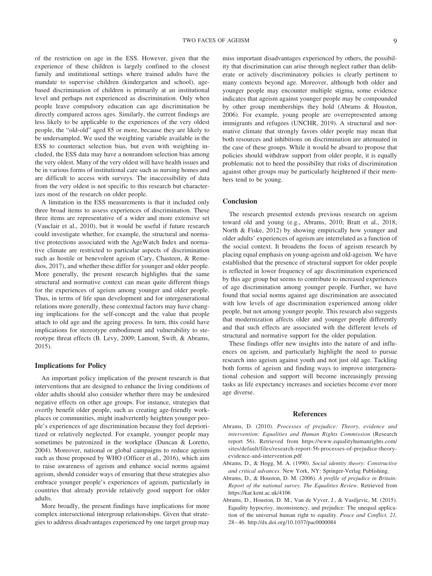of the restriction on age in the ESS. However, given that the experience of these children is largely confined to the closest family and institutional settings where trained adults have the mandate to supervise children (kindergarten and school), agebased discrimination of children is primarily at an institutional level and perhaps not experienced as discrimination. Only when people leave compulsory education can age discrimination be directly compared across ages. Similarly, the current findings are less likely to be applicable to the experiences of the very oldest people, the "old-old" aged 85 or more, because they are likely to be undersampled. We used the weighting variable available in the ESS to counteract selection bias, but even with weighting included, the ESS data may have a nonrandom selection bias among the very oldest. Many of the very oldest will have health issues and be in various forms of institutional care such as nursing homes and are difficult to access with surveys. The inaccessibility of data from the very oldest is not specific to this research but characterizes most of the research on older people.

A limitation in the ESS measurements is that it included only three broad items to assess experiences of discrimination. These three items are representative of a wider and more extensive set (Vauclair et al., 2010), but it would be useful if future research could investigate whether, for example, the structural and normative protections associated with the AgeWatch Index and normative climate are restricted to particular aspects of discrimination such as hostile or benevolent ageism (Cary, Chasteen, & Remedios, 2017), and whether these differ for younger and older people. More generally, the present research highlights that the same structural and normative context can mean quite different things for the experiences of ageism among younger and older people. Thus, in terms of life span development and for intergenerational relations more generally, these contextual factors may have changing implications for the self-concept and the value that people attach to old age and the ageing process. In turn, this could have implications for stereotype embodiment and vulnerability to stereotype threat effects (B. Levy, 2009; Lamont, Swift, & Abrams, 2015).

#### **Implications for Policy**

An important policy implication of the present research is that interventions that are designed to enhance the living conditions of older adults should also consider whether there may be undesired negative effects on other age groups. For instance, strategies that overtly benefit older people, such as creating age-friendly workplaces or communities, might inadvertently heighten younger people's experiences of age discrimination because they feel deprioritized or relatively neglected. For example, younger people may sometimes be patronized in the workplace (Duncan & Loretto, 2004). Moreover, national or global campaigns to reduce ageism such as those proposed by WHO (Officer et al., 2016), which aim to raise awareness of ageism and enhance social norms against ageism, should consider ways of ensuring that these strategies also embrace younger people's experiences of ageism, particularly in countries that already provide relatively good support for older adults.

More broadly, the present findings have implications for more complex intersectional intergroup relationships. Given that strategies to address disadvantages experienced by one target group may miss important disadvantages experienced by others, the possibility that discrimination can arise through neglect rather than deliberate or actively discriminatory policies is clearly pertinent to many contexts beyond age. Moreover, although both older and younger people may encounter multiple stigma, some evidence indicates that ageism against younger people may be compounded by other group memberships they hold (Abrams & Houston, 2006). For example, young people are overrepresented among immigrants and refugees (UNCHR, 2019). A structural and normative climate that strongly favors older people may mean that both resources and inhibitions on discrimination are attenuated in the case of these groups. While it would be absurd to propose that policies should withdraw support from older people, it is equally problematic not to heed the possibility that risks of discrimination against other groups may be particularly heightened if their members tend to be young.

#### **Conclusion**

The research presented extends previous research on ageism toward old and young (e.g., Abrams, 2010; Bratt et al., 2018; North & Fiske, 2012) by showing empirically how younger and older adults' experiences of ageism are interrelated as a function of the social context. It broadens the focus of ageism research by placing equal emphasis on young-ageism and old-ageism. We have established that the presence of structural support for older people is reflected in lower frequency of age discrimination experienced by this age group but seems to contribute to increased experiences of age discrimination among younger people. Further, we have found that social norms against age discrimination are associated with low levels of age discrimination experienced among older people, but not among younger people. This research also suggests that modernization affects older and younger people differently and that such effects are associated with the different levels of structural and normative support for the older population.

These findings offer new insights into the nature of and influences on ageism, and particularly highlight the need to pursue research into ageism against youth and not just old age. Tackling both forms of ageism and finding ways to improve intergenerational cohesion and support will become increasingly pressing tasks as life expectancy increases and societies become ever more age diverse.

#### **References**

- Abrams, D. (2010). *Processes of prejudice: Theory, evidence and intervention: Equalities and Human Rights Commission* (Research report 56). Retrieved from [https://www.equalityhumanrights.com/](https://www.equalityhumanrights.com/sites/default/files/research-report-56-processes-of-prejudice-theory-evidence-and-intervention.pdf) [sites/default/files/research-report-56-processes-of-prejudice-theory](https://www.equalityhumanrights.com/sites/default/files/research-report-56-processes-of-prejudice-theory-evidence-and-intervention.pdf)[evidence-and-intervention.pdf](https://www.equalityhumanrights.com/sites/default/files/research-report-56-processes-of-prejudice-theory-evidence-and-intervention.pdf)
- Abrams, D., & Hogg, M. A. (1990). *Social identity theory: Constructive and critical advances*. New York, NY: Springer-Verlag Publishing.
- Abrams, D., & Houston, D. M. (2006). *A profile of prejudice in Britain: Report of the national survey. The Equalities Review*. Retrieved from <https://kar.kent.ac.uk/4106>
- Abrams, D., Houston, D. M., Van de Vyver, J., & Vasiljevic, M. (2015). Equality hypocrisy, inconsistency, and prejudice: The unequal application of the universal human right to equality. *Peace and Conflict, 21,* 28 – 46.<http://dx.doi.org/10.1037/pac0000084>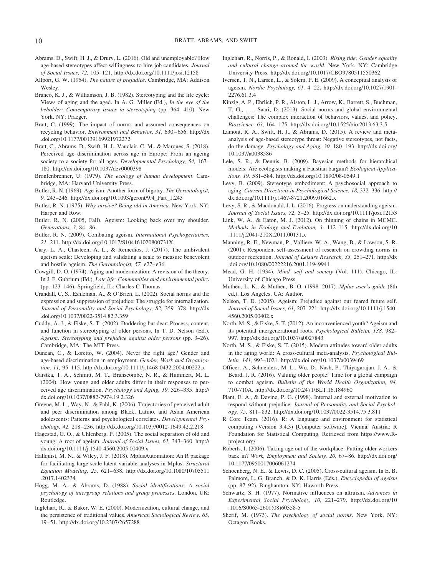- Abrams, D., Swift, H. J., & Drury, L. (2016). Old and unemployable? How age-based stereotypes affect willingness to hire job candidates. *Journal of Social Issues, 72,* 105–121.<http://dx.doi.org/10.1111/josi.12158>
- Allport, G. W. (1954). *The nature of prejudice*. Cambridge, MA: Addison Wesley.
- Branco, K. J., & Williamson, J. B. (1982). Stereotyping and the life cycle: Views of aging and the aged. In A. G. Miller (Ed.), *In the eye of the beholder: Contemporary issues in stereotyping* (pp. 364 – 410). New York, NY: Praeger.
- Bratt, C. (1999). The impact of norms and assumed consequences on recycling behavior. *Environment and Behavior, 31,* 630 – 656. [http://dx](http://dx.doi.org/10.1177/00139169921972272) [.doi.org/10.1177/00139169921972272](http://dx.doi.org/10.1177/00139169921972272)
- Bratt, C., Abrams, D., Swift, H. J., Vauclair, C.-M., & Marques, S. (2018). Perceived age discrimination across age in Europe: From an ageing society to a society for all ages. *Developmental Psychology, 54,* 167– 180.<http://dx.doi.org/10.1037/dev0000398>
- Bronfenbrenner, U. (1979). *The ecology of human development*. Cambridge, MA: Harvard University Press.
- Butler, R. N. (1969). Age-ism: Another form of bigotry. *The Gerontologist, 9,* 243–246. [http://dx.doi.org/10.1093/geront/9.4\\_Part\\_1.243](http://dx.doi.org/10.1093/geront/9.4_Part_1.243)
- Butler, R. N. (1975). *Why survive? Being old in America*. New York, NY: Harper and Row.
- Butler, R. N. (2005, Fall). Ageism: Looking back over my shoulder. *Generations, 3,* 84 – 86.
- Butler, R. N. (2009). Combating ageism. *International Psychogeriatrics, 21,* 211.<http://dx.doi.org/10.1017/S104161020800731X>
- Cary, L. A., Chasteen, A. L., & Remedios, J. (2017). The ambivalent ageism scale: Developing and validating a scale to measure benevolent and hostile ageism. *The Gerontologist*, 57, e27-e36.
- Cowgill, D. O. (1974). Aging and modernization: A revision of the theory. In J. F. Gubrium (Ed.), *Late life: Communities and environmental policy* (pp. 123–146). Springfield, IL: Charles C Thomas.
- Crandall, C. S., Eshleman, A., & O'Brien, L. (2002). Social norms and the expression and suppression of prejudice: The struggle for internalization. *Journal of Personality and Social Psychology, 82,* 359 –378. [http://dx](http://dx.doi.org/10.1037/0022-3514.82.3.359) [.doi.org/10.1037/0022-3514.82.3.359](http://dx.doi.org/10.1037/0022-3514.82.3.359)
- Cuddy, A. J., & Fiske, S. T. (2002). Doddering but dear: Process, content, and function in stereotyping of older persons. In T. D. Nelson (Ed.), *Ageism: Stereotyping and prejudice against older persons* (pp. 3–26). Cambridge, MA: The MIT Press.
- Duncan, C., & Loretto, W. (2004). Never the right age? Gender and age-based discrimination in employment. *Gender, Work and Organization, 11,* 95–115.<http://dx.doi.org/10.1111/j.1468-0432.2004.00222.x>
- Garstka, T. A., Schmitt, M. T., Branscombe, N. R., & Hummert, M. L. (2004). How young and older adults differ in their responses to perceived age discrimination. *Psychology and Aging, 19,* 326 –335. [http://](http://dx.doi.org/10.1037/0882-7974.19.2.326) [dx.doi.org/10.1037/0882-7974.19.2.326](http://dx.doi.org/10.1037/0882-7974.19.2.326)
- Greene, M. L., Way, N., & Pahl, K. (2006). Trajectories of perceived adult and peer discrimination among Black, Latino, and Asian American adolescents: Patterns and psychological correlates. *Developmental Psychology, 42,* 218 –236.<http://dx.doi.org/10.1037/0012-1649.42.2.218>
- Hagestad, G. O., & Uhlenberg, P. (2005). The social separation of old and young: A root of ageism. *Journal of Social Issues, 61,* 343–360. [http://](http://dx.doi.org/10.1111/j.1540-4560.2005.00409.x) [dx.doi.org/10.1111/j.1540-4560.2005.00409.x](http://dx.doi.org/10.1111/j.1540-4560.2005.00409.x)
- Hallquist, M. N., & Wiley, J. F. (2018). MplusAutomation: An R package for facilitating large-scale latent variable analyses in Mplus. *Structural Equation Modeling, 25,* 621– 638. [http://dx.doi.org/10.1080/10705511](http://dx.doi.org/10.1080/10705511.2017.1402334) [.2017.1402334](http://dx.doi.org/10.1080/10705511.2017.1402334)
- Hogg, M. A., & Abrams, D. (1988). *Social identifications: A social psychology of intergroup relations and group processes*. London, UK: Routledge.
- Inglehart, R., & Baker, W. E. (2000). Modernization, cultural change, and the persistence of traditional values. *American Sociological Review, 65,* 19 –51.<http://dx.doi.org/10.2307/2657288>
- Inglehart, R., Norris, P., & Ronald, I. (2003). *Rising tide: Gender equality and cultural change around the world*. New York, NY: Cambridge University Press.<http://dx.doi.org/10.1017/CBO9780511550362>
- Iversen, T. N., Larsen, L., & Solem, P. E. (2009). A conceptual analysis of ageism. *Nordic Psychology, 61,* 4 –22. [http://dx.doi.org/10.1027/1901-](http://dx.doi.org/10.1027/1901-2276.61.3.4) [2276.61.3.4](http://dx.doi.org/10.1027/1901-2276.61.3.4)
- Kinzig, A. P., Ehrlich, P. R., Alston, L. J., Arrow, K., Barrett, S., Buchman, T. G., . . . Saari, D. (2013). Social norms and global environmental challenges: The complex interaction of behaviors, values, and policy. *Bioscience, 63,* 164 –175.<http://dx.doi.org/10.1525/bio.2013.63.3.5>
- Lamont, R. A., Swift, H. J., & Abrams, D. (2015). A review and metaanalysis of age-based stereotype threat: Negative stereotypes, not facts, do the damage. *Psychology and Aging, 30,* 180 –193. [http://dx.doi.org/](http://dx.doi.org/10.1037/a0038586) [10.1037/a0038586](http://dx.doi.org/10.1037/a0038586)
- Lele, S. R., & Dennis, B. (2009). Bayesian methods for hierarchical models: Are ecologists making a Faustian bargain? *Ecological Applications, 19,* 581–584.<http://dx.doi.org/10.1890/08-0549.1>
- Levy, B. (2009). Stereotype embodiment: A psychosocial approach to aging. *Current Directions in Psychological Science, 18,* 332–336. [http://](http://dx.doi.org/10.1111/j.1467-8721.2009.01662.x) [dx.doi.org/10.1111/j.1467-8721.2009.01662.x](http://dx.doi.org/10.1111/j.1467-8721.2009.01662.x)
- Levy, S. R., & Macdonald, J. L. (2016). Progress on understanding ageism. *Journal of Social Issues, 72,* 5–25.<http://dx.doi.org/10.1111/josi.12153>
- Link, W. A., & Eaton, M. J. (2012). On thinning of chains in MCMC. *Methods in Ecology and Evolution, 3,* 112–115. [http://dx.doi.org/10](http://dx.doi.org/10.1111/j.2041-210X.2011.00131.x) [.1111/j.2041-210X.2011.00131.x](http://dx.doi.org/10.1111/j.2041-210X.2011.00131.x)
- Manning, R. E., Newman, P., Valliere, W. A., Wang, B., & Lawson, S. R. (2001). Respondent self-assessment of research on crowding norms in outdoor recreation. *Journal of Leisure Research, 33,* 251–271. [http://dx](http://dx.doi.org/10.1080/00222216.2001.11949941) [.doi.org/10.1080/00222216.2001.11949941](http://dx.doi.org/10.1080/00222216.2001.11949941)
- Mead, G. H. (1934). *Mind, self and society* (Vol. 111). Chicago, IL: University of Chicago Press.
- Muthén, L. K., & Muthén, B. O. (1998 –2017). *Mplus user's guide* (8th ed.). Los Angeles, CA: Author.
- Nelson, T. D. (2005). Ageism: Prejudice against our feared future self. *Journal of Social Issues, 61,* 207–221. [http://dx.doi.org/10.1111/j.1540-](http://dx.doi.org/10.1111/j.1540-4560.2005.00402.x) [4560.2005.00402.x](http://dx.doi.org/10.1111/j.1540-4560.2005.00402.x)
- North, M. S., & Fiske, S. T. (2012). An inconvenienced youth? Ageism and its potential intergenerational roots. *Psychological Bulletin, 138,* 982– 997.<http://dx.doi.org/10.1037/a0027843>
- North, M. S., & Fiske, S. T. (2015). Modern attitudes toward older adults in the aging world: A cross-cultural meta-analysis. *Psychological Bulletin, 141,* 993–1021.<http://dx.doi.org/10.1037/a0039469>
- Officer, A., Schneiders, M. L., Wu, D., Nash, P., Thiyagarajan, J. A., & Beard, J. R. (2016). Valuing older people: Time for a global campaign to combat ageism. *Bulletin of the World Health Organization, 94,* 710-710A.<http://dx.doi.org/10.2471/BLT.16.184960>
- Plant, E. A., & Devine, P. G. (1998). Internal and external motivation to respond without prejudice. *Journal of Personality and Social Psychology, 75,* 811– 832.<http://dx.doi.org/10.1037/0022-3514.75.3.811>
- R Core Team. (2016). R: A language and environment for statistical computing (Version 3.4.3) [Computer software]. Vienna, Austria: R Foundation for Statistical Computing. Retrieved from [https://www.R](https://www.R-project.org/)[project.org/](https://www.R-project.org/)
- Roberts, I. (2006). Taking age out of the workplace: Putting older workers back in? *Work, Employment and Society, 20,* 67– 86. [http://dx.doi.org/](http://dx.doi.org/10.1177/0950017006061274) [10.1177/0950017006061274](http://dx.doi.org/10.1177/0950017006061274)
- Schoenberg, N. E., & Lewis, D. C. (2005). Cross-cultural ageism. In E. B. Palmore, L. G. Branch, & D. K. Harris (Eds.), *Encyclopedia of ageism* (pp. 87–92). Binghamton, NY: Haworth Press.
- Schwartz, S. H. (1977). Normative influences on altruism. *Advances in Experimental Social Psychology, 10,* 221–279. [http://dx.doi.org/10](http://dx.doi.org/10.1016/S0065-2601%2808%2960358-5) [.1016/S0065-2601\(08\)60358-5](http://dx.doi.org/10.1016/S0065-2601%2808%2960358-5)
- Sherif, M. (1973). *The psychology of social norms*. New York, NY: Octagon Books.